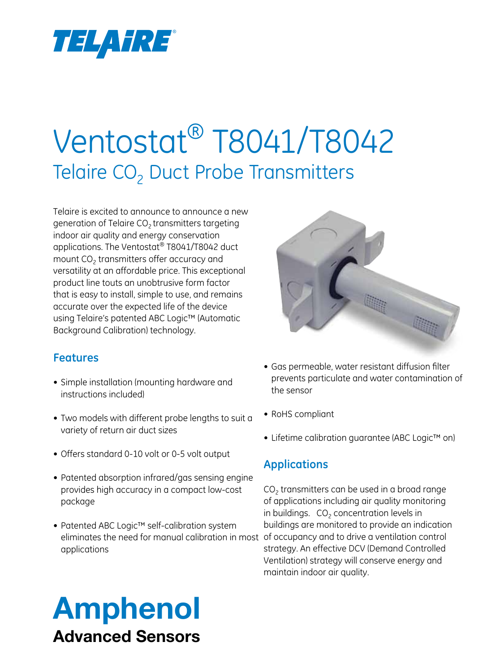

# Ventostat® T8041/T8042 Telaire CO<sub>2</sub> Duct Probe Transmitters

Telaire is excited to announce to announce a new generation of Telaire  $CO<sub>2</sub>$  transmitters targeting indoor air quality and energy conservation applications. The Ventostat® T8041/T8042 duct mount CO<sub>2</sub> transmitters offer accuracy and versatility at an affordable price. This exceptional product line touts an unobtrusive form factor that is easy to install, simple to use, and remains accurate over the expected life of the device using Telaire's patented ABC Logic™ (Automatic Background Calibration) technology.



- Simple installation (mounting hardware and instructions included)
- Two models with different probe lengths to suit a variety of return air duct sizes
- • Offers standard 0-10 volt or 0-5 volt output
- Patented absorption infrared/gas sensing engine provides high accuracy in a compact low-cost package
- Patented ABC Logic™ self-calibration system eliminates the need for manual calibration in most of occupancy and to drive a ventilation control applications



- Gas permeable, water resistant diffusion filter prevents particulate and water contamination of the sensor
- RoHS compliant
- Lifetime calibration guarantee (ABC Logic<sup>™</sup> on)

### **Applications**

 $CO<sub>2</sub>$  transmitters can be used in a broad range of applications including air quality monitoring in buildings.  $CO<sub>2</sub>$  concentration levels in buildings are monitored to provide an indication strategy. An effective DCV (Demand Controlled Ventilation) strategy will conserve energy and maintain indoor air quality.

# Amphenol Advanced Sensors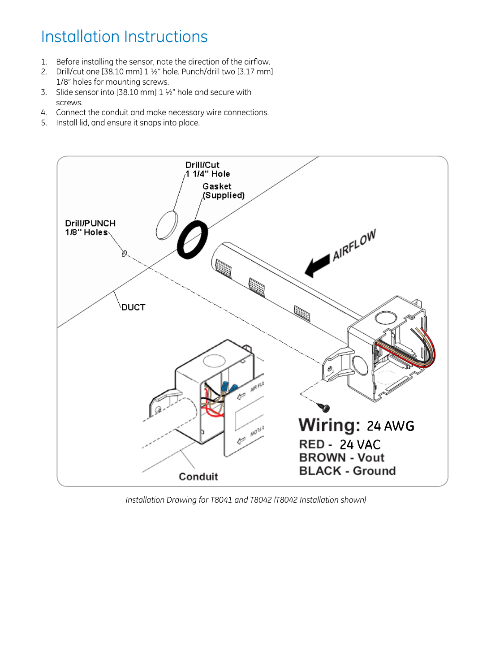## Installation Instructions

- 1. Before installing the sensor, note the direction of the airflow.
- 2. Drill/cut one [38.10 mm] 1 ½" hole. Punch/drill two [3.17 mm] 1/8" holes for mounting screws.
- 3. Slide sensor into [38.10 mm] 1 ½" hole and secure with screws.
- 4. Connect the conduit and make necessary wire connections.
- 5. Install lid, and ensure it snaps into place.



*Installation Drawing for T8041 and T8042 (T8042 Installation shown)*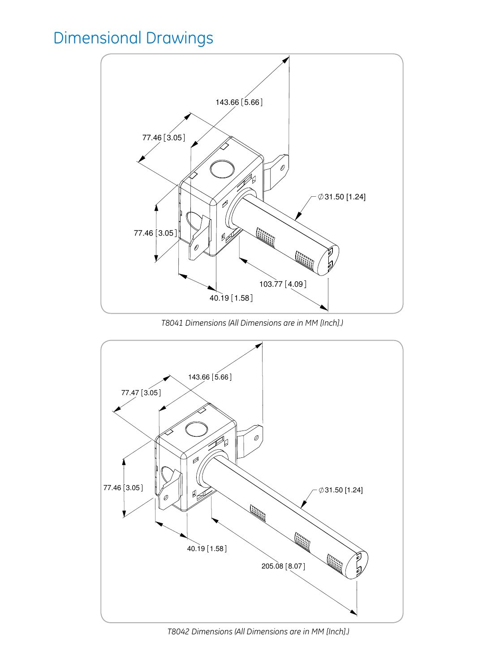## Dimensional Drawings



*T8041 Dimensions (All Dimensions are in MM [Inch].)*



*T8042 Dimensions (All Dimensions are in MM [Inch].)*